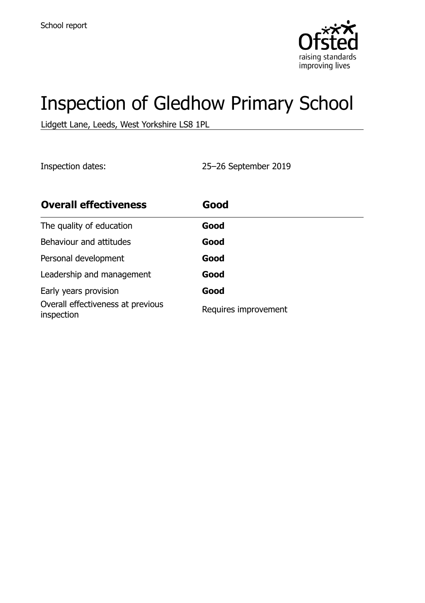

# Inspection of Gledhow Primary School

Lidgett Lane, Leeds, West Yorkshire LS8 1PL

Inspection dates: 25–26 September 2019

| <b>Overall effectiveness</b>                    | Good                 |
|-------------------------------------------------|----------------------|
| The quality of education                        | Good                 |
| Behaviour and attitudes                         | Good                 |
| Personal development                            | Good                 |
| Leadership and management                       | Good                 |
| Early years provision                           | Good                 |
| Overall effectiveness at previous<br>inspection | Requires improvement |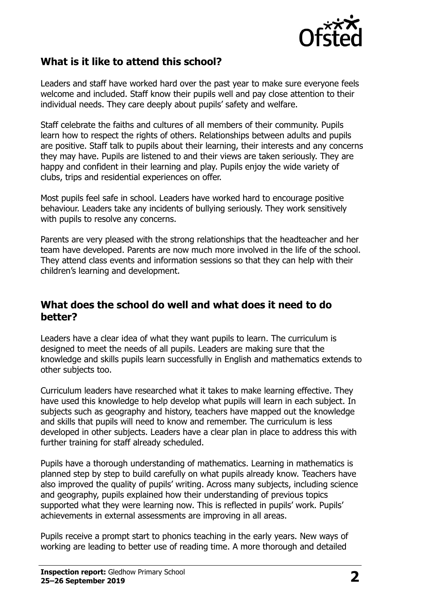

### **What is it like to attend this school?**

Leaders and staff have worked hard over the past year to make sure everyone feels welcome and included. Staff know their pupils well and pay close attention to their individual needs. They care deeply about pupils' safety and welfare.

Staff celebrate the faiths and cultures of all members of their community. Pupils learn how to respect the rights of others. Relationships between adults and pupils are positive. Staff talk to pupils about their learning, their interests and any concerns they may have. Pupils are listened to and their views are taken seriously. They are happy and confident in their learning and play. Pupils enjoy the wide variety of clubs, trips and residential experiences on offer.

Most pupils feel safe in school. Leaders have worked hard to encourage positive behaviour. Leaders take any incidents of bullying seriously. They work sensitively with pupils to resolve any concerns.

Parents are very pleased with the strong relationships that the headteacher and her team have developed. Parents are now much more involved in the life of the school. They attend class events and information sessions so that they can help with their children's learning and development.

#### **What does the school do well and what does it need to do better?**

Leaders have a clear idea of what they want pupils to learn. The curriculum is designed to meet the needs of all pupils. Leaders are making sure that the knowledge and skills pupils learn successfully in English and mathematics extends to other subjects too.

Curriculum leaders have researched what it takes to make learning effective. They have used this knowledge to help develop what pupils will learn in each subject. In subjects such as geography and history, teachers have mapped out the knowledge and skills that pupils will need to know and remember. The curriculum is less developed in other subjects. Leaders have a clear plan in place to address this with further training for staff already scheduled.

Pupils have a thorough understanding of mathematics. Learning in mathematics is planned step by step to build carefully on what pupils already know. Teachers have also improved the quality of pupils' writing. Across many subjects, including science and geography, pupils explained how their understanding of previous topics supported what they were learning now. This is reflected in pupils' work. Pupils' achievements in external assessments are improving in all areas.

Pupils receive a prompt start to phonics teaching in the early years. New ways of working are leading to better use of reading time. A more thorough and detailed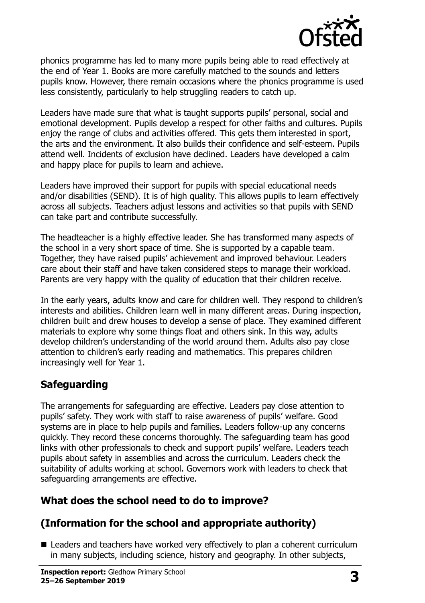

phonics programme has led to many more pupils being able to read effectively at the end of Year 1. Books are more carefully matched to the sounds and letters pupils know. However, there remain occasions where the phonics programme is used less consistently, particularly to help struggling readers to catch up.

Leaders have made sure that what is taught supports pupils' personal, social and emotional development. Pupils develop a respect for other faiths and cultures. Pupils enjoy the range of clubs and activities offered. This gets them interested in sport, the arts and the environment. It also builds their confidence and self-esteem. Pupils attend well. Incidents of exclusion have declined. Leaders have developed a calm and happy place for pupils to learn and achieve.

Leaders have improved their support for pupils with special educational needs and/or disabilities (SEND). It is of high quality. This allows pupils to learn effectively across all subjects. Teachers adjust lessons and activities so that pupils with SEND can take part and contribute successfully.

The headteacher is a highly effective leader. She has transformed many aspects of the school in a very short space of time. She is supported by a capable team. Together, they have raised pupils' achievement and improved behaviour. Leaders care about their staff and have taken considered steps to manage their workload. Parents are very happy with the quality of education that their children receive.

In the early years, adults know and care for children well. They respond to children's interests and abilities. Children learn well in many different areas. During inspection, children built and drew houses to develop a sense of place. They examined different materials to explore why some things float and others sink. In this way, adults develop children's understanding of the world around them. Adults also pay close attention to children's early reading and mathematics. This prepares children increasingly well for Year 1.

## **Safeguarding**

The arrangements for safeguarding are effective. Leaders pay close attention to pupils' safety. They work with staff to raise awareness of pupils' welfare. Good systems are in place to help pupils and families. Leaders follow-up any concerns quickly. They record these concerns thoroughly. The safeguarding team has good links with other professionals to check and support pupils' welfare. Leaders teach pupils about safety in assemblies and across the curriculum. Leaders check the suitability of adults working at school. Governors work with leaders to check that safeguarding arrangements are effective.

## **What does the school need to do to improve?**

## **(Information for the school and appropriate authority)**

■ Leaders and teachers have worked very effectively to plan a coherent curriculum in many subjects, including science, history and geography. In other subjects,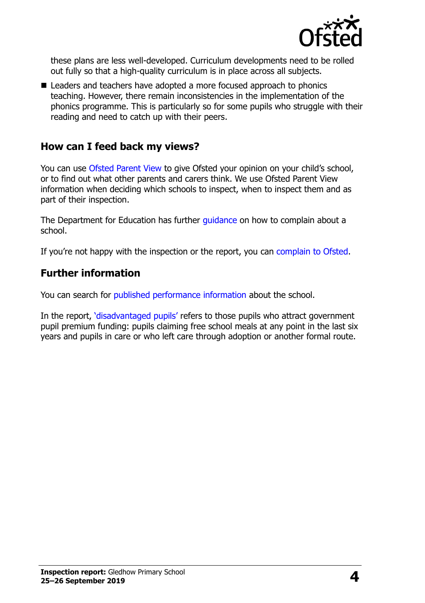

these plans are less well-developed. Curriculum developments need to be rolled out fully so that a high-quality curriculum is in place across all subjects.

■ Leaders and teachers have adopted a more focused approach to phonics teaching. However, there remain inconsistencies in the implementation of the phonics programme. This is particularly so for some pupils who struggle with their reading and need to catch up with their peers.

#### **How can I feed back my views?**

You can use [Ofsted Parent View](http://parentview.ofsted.gov.uk/) to give Ofsted your opinion on your child's school, or to find out what other parents and carers think. We use Ofsted Parent View information when deciding which schools to inspect, when to inspect them and as part of their inspection.

The Department for Education has further quidance on how to complain about a school.

If you're not happy with the inspection or the report, you can [complain to Ofsted.](http://www.gov.uk/complain-ofsted-report)

### **Further information**

You can search for [published performance information](http://www.compare-school-performance.service.gov.uk/) about the school.

In the report, '[disadvantaged pupils](http://www.gov.uk/guidance/pupil-premium-information-for-schools-and-alternative-provision-settings)' refers to those pupils who attract government pupil premium funding: pupils claiming free school meals at any point in the last six years and pupils in care or who left care through adoption or another formal route.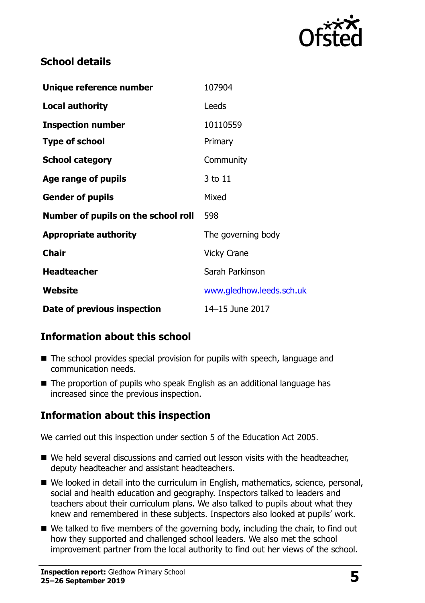

## **School details**

| Unique reference number             | 107904                   |
|-------------------------------------|--------------------------|
| <b>Local authority</b>              | Leeds                    |
| <b>Inspection number</b>            | 10110559                 |
| <b>Type of school</b>               | Primary                  |
| <b>School category</b>              | Community                |
| Age range of pupils                 | 3 to 11                  |
| <b>Gender of pupils</b>             | Mixed                    |
| Number of pupils on the school roll | 598                      |
| <b>Appropriate authority</b>        | The governing body       |
| <b>Chair</b>                        | <b>Vicky Crane</b>       |
| <b>Headteacher</b>                  | Sarah Parkinson          |
| Website                             | www.gledhow.leeds.sch.uk |
| Date of previous inspection         | 14-15 June 2017          |

## **Information about this school**

- The school provides special provision for pupils with speech, language and communication needs.
- The proportion of pupils who speak English as an additional language has increased since the previous inspection.

## **Information about this inspection**

We carried out this inspection under section 5 of the Education Act 2005.

- We held several discussions and carried out lesson visits with the headteacher, deputy headteacher and assistant headteachers.
- We looked in detail into the curriculum in English, mathematics, science, personal, social and health education and geography. Inspectors talked to leaders and teachers about their curriculum plans. We also talked to pupils about what they knew and remembered in these subjects. Inspectors also looked at pupils' work.
- We talked to five members of the governing body, including the chair, to find out how they supported and challenged school leaders. We also met the school improvement partner from the local authority to find out her views of the school.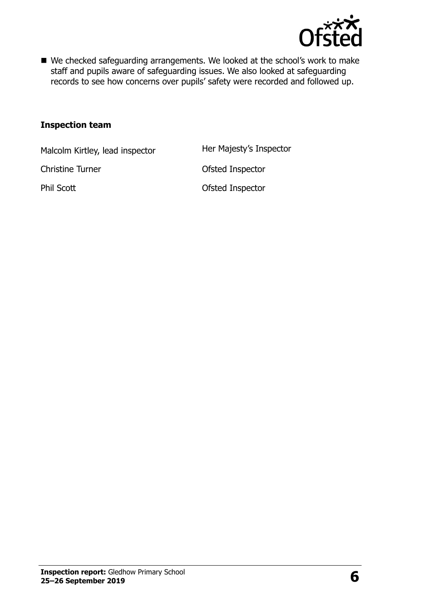

■ We checked safeguarding arrangements. We looked at the school's work to make staff and pupils aware of safeguarding issues. We also looked at safeguarding records to see how concerns over pupils' safety were recorded and followed up.

#### **Inspection team**

Malcolm Kirtley, lead inspector Her Majesty's Inspector

Christine Turner **Christine Turner** Christian Ofsted Inspector

Phil Scott **Calculation Control** Ofsted Inspector